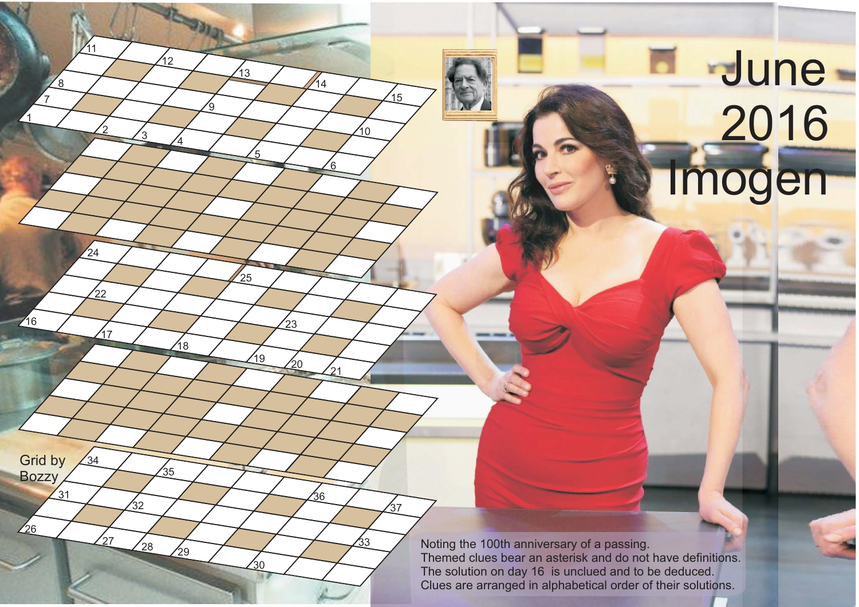## **June**  2016 **Imogen**

Noting the 100th anniversary of a passing. Themed clues bear an asterisk and do not have definitions. The solution on day 16 is unclued and to be deduced. Clues are arranged in alphabetical order of their solutions.

1

16

26

 $'31$ 

Grid by **Bozzy** 

 $34$ 

7

8

2

17

 $\frac{1}{22}$ 

 $\overline{24}$ 

 $11$ 

3

4

18

 $28 \frac{1}{29}$ 

 $'35$ 

 $'32$ 

12

'a

5

 $25$ 

 $'30$ 

13

์ค

 $19$   $20$   $21$ 

⁄36

 $\overline{23}$ 

,<br>14

10

33

,<br>37

15